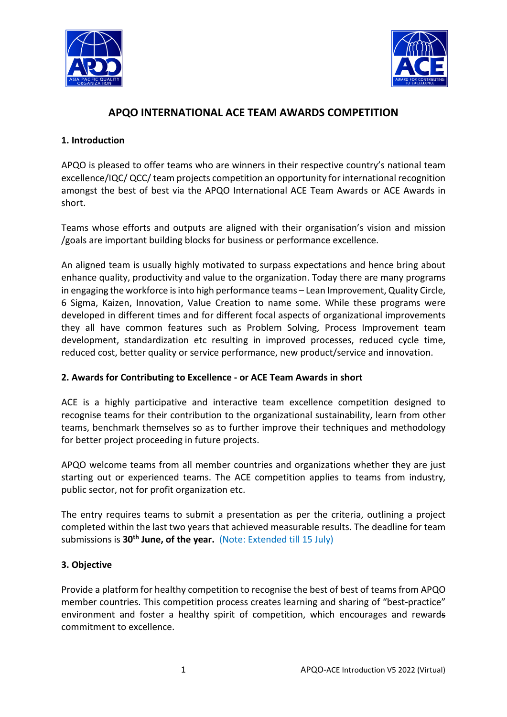



# **APQO INTERNATIONAL ACE TEAM AWARDS COMPETITION**

### **1. Introduction**

APQO is pleased to offer teams who are winners in their respective country's national team excellence/IQC/ QCC/ team projects competition an opportunity for international recognition amongst the best of best via the APQO International ACE Team Awards or ACE Awards in short.

Teams whose efforts and outputs are aligned with their organisation's vision and mission /goals are important building blocks for business or performance excellence.

An aligned team is usually highly motivated to surpass expectations and hence bring about enhance quality, productivity and value to the organization. Today there are many programs in engaging the workforce is into high performance teams – Lean Improvement, Quality Circle, 6 Sigma, Kaizen, Innovation, Value Creation to name some. While these programs were developed in different times and for different focal aspects of organizational improvements they all have common features such as Problem Solving, Process Improvement team development, standardization etc resulting in improved processes, reduced cycle time, reduced cost, better quality or service performance, new product/service and innovation.

### **2. Awards for Contributing to Excellence - or ACE Team Awards in short**

ACE is a highly participative and interactive team excellence competition designed to recognise teams for their contribution to the organizational sustainability, learn from other teams, benchmark themselves so as to further improve their techniques and methodology for better project proceeding in future projects.

APQO welcome teams from all member countries and organizations whether they are just starting out or experienced teams. The ACE competition applies to teams from industry, public sector, not for profit organization etc.

The entry requires teams to submit a presentation as per the criteria, outlining a project completed within the last two years that achieved measurable results. The deadline for team submissions is 30<sup>th</sup> June, of the year. (Note: Extended till 15 July)

### **3. Objective**

Provide a platform for healthy competition to recognise the best of best of teams from APQO member countries. This competition process creates learning and sharing of "best-practice" environment and foster a healthy spirit of competition, which encourages and rewards commitment to excellence.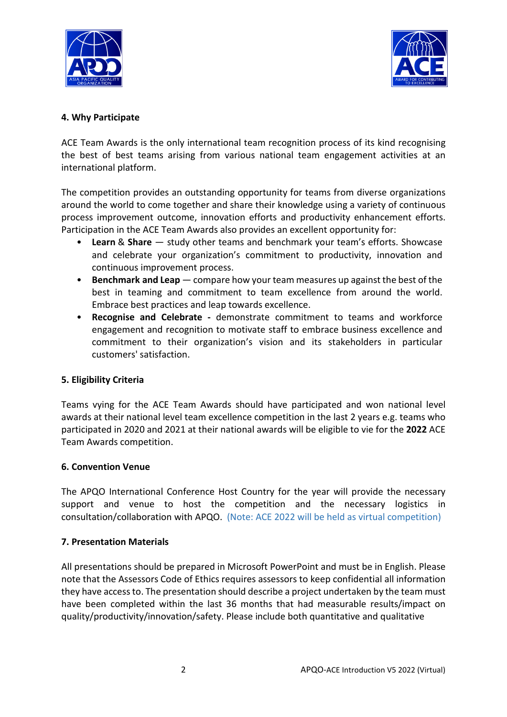



### **4. Why Participate**

ACE Team Awards is the only international team recognition process of its kind recognising the best of best teams arising from various national team engagement activities at an international platform.

The competition provides an outstanding opportunity for teams from diverse organizations around the world to come together and share their knowledge using a variety of continuous process improvement outcome, innovation efforts and productivity enhancement efforts. Participation in the ACE Team Awards also provides an excellent opportunity for:

- **Learn** & **Share** study other teams and benchmark your team's efforts. Showcase and celebrate your organization's commitment to productivity, innovation and continuous improvement process.
- **Benchmark and Leap** compare how your team measures up against the best of the best in teaming and commitment to team excellence from around the world. Embrace best practices and leap towards excellence.
- **Recognise and Celebrate -** demonstrate commitment to teams and workforce engagement and recognition to motivate staff to embrace business excellence and commitment to their organization's vision and its stakeholders in particular customers' satisfaction.

### **5. Eligibility Criteria**

Teams vying for the ACE Team Awards should have participated and won national level awards at their national level team excellence competition in the last 2 years e.g. teams who participated in 2020 and 2021 at their national awards will be eligible to vie for the **2022** ACE Team Awards competition.

### **6. Convention Venue**

The APQO International Conference Host Country for the year will provide the necessary support and venue to host the competition and the necessary logistics in consultation/collaboration with APQO. (Note: ACE 2022 will be held as virtual competition)

### **7. Presentation Materials**

All presentations should be prepared in Microsoft PowerPoint and must be in English. Please note that the Assessors Code of Ethics requires assessors to keep confidential all information they have access to. The presentation should describe a project undertaken by the team must have been completed within the last 36 months that had measurable results/impact on quality/productivity/innovation/safety. Please include both quantitative and qualitative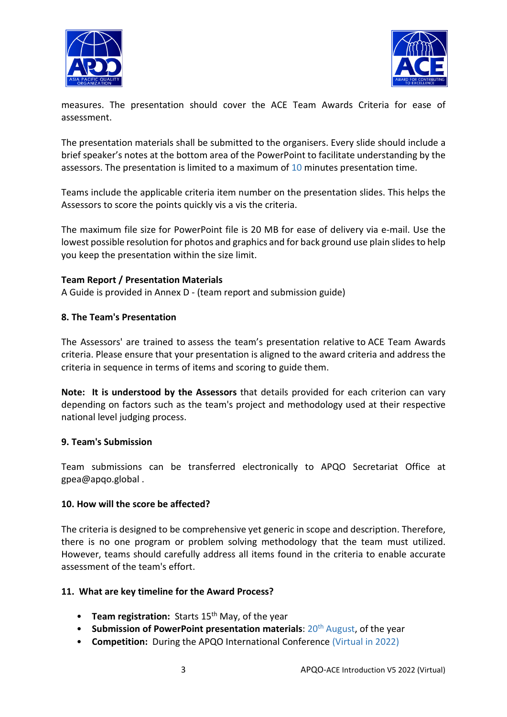



measures. The presentation should cover the ACE Team Awards Criteria for ease of assessment.

The presentation materials shall be submitted to the organisers. Every slide should include a brief speaker's notes at the bottom area of the PowerPoint to facilitate understanding by the assessors. The presentation is limited to a maximum of 10 minutes presentation time.

Teams include the applicable criteria item number on the presentation slides. This helps the Assessors to score the points quickly vis a vis the criteria.

The maximum file size for PowerPoint file is 20 MB for ease of delivery via e-mail. Use the lowest possible resolution for photos and graphics and for back ground use plain slides to help you keep the presentation within the size limit.

### **Team Report / Presentation Materials**

A Guide is provided in Annex D - (team report and submission guide)

#### **8. The Team's Presentation**

The Assessors' are trained to assess the team's presentation relative to ACE Team Awards criteria. Please ensure that your presentation is aligned to the award criteria and address the criteria in sequence in terms of items and scoring to guide them.

**Note: It is understood by the Assessors** that details provided for each criterion can vary depending on factors such as the team's project and methodology used at their respective national level judging process.

#### **9. Team's Submission**

Team submissions can be transferred electronically to APQO Secretariat Office at gpea@apqo.global .

#### **10. How will the score be affected?**

The criteria is designed to be comprehensive yet generic in scope and description. Therefore, there is no one program or problem solving methodology that the team must utilized. However, teams should carefully address all items found in the criteria to enable accurate assessment of the team's effort.

#### **11. What are key timeline for the Award Process?**

- **Team registration:** Starts 15<sup>th</sup> May, of the year
- **Submission of PowerPoint presentation materials: 20<sup>th</sup> August, of the year**
- **Competition:** During the APQO International Conference (Virtual in 2022)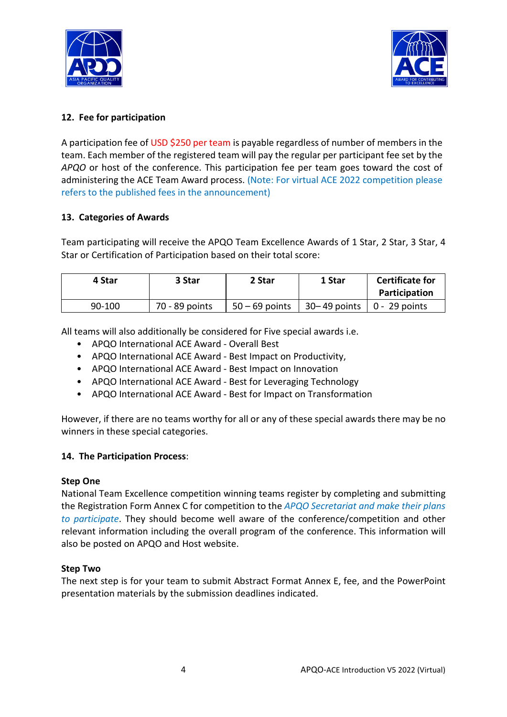



# **12. Fee for participation**

A participation fee of USD \$250 per team is payable regardless of number of members in the team. Each member of the registered team will pay the regular per participant fee set by the *APQO* or host of the conference. This participation fee per team goes toward the cost of administering the ACE Team Award process. (Note: For virtual ACE 2022 competition please refers to the published fees in the announcement)

#### **13. Categories of Awards**

Team participating will receive the APQO Team Excellence Awards of 1 Star, 2 Star, 3 Star, 4 Star or Certification of Participation based on their total score:

| 4 Star   | 3 Star         | 2 Star           | 1 Star                                 | <b>Certificate for</b><br>Participation |
|----------|----------------|------------------|----------------------------------------|-----------------------------------------|
| $90-100$ | 70 - 89 points | $50 - 69$ points | $30 - 49$ points $\vert 0 - 29$ points |                                         |

All teams will also additionally be considered for Five special awards i.e.

- APQO International ACE Award Overall Best
- APQO International ACE Award Best Impact on Productivity,
- APQO International ACE Award Best Impact on Innovation
- APQO International ACE Award Best for Leveraging Technology
- APQO International ACE Award Best for Impact on Transformation

However, if there are no teams worthy for all or any of these special awards there may be no winners in these special categories.

#### **14. The Participation Process**:

#### **Step One**

National Team Excellence competition winning teams register by completing and submitting the Registration Form Annex C for competition to the *APQO Secretariat and make their plans to participate*. They should become well aware of the conference/competition and other relevant information including the overall program of the conference. This information will also be posted on APQO and Host website.

#### **Step Two**

The next step is for your team to submit Abstract Format Annex E, fee, and the PowerPoint presentation materials by the submission deadlines indicated.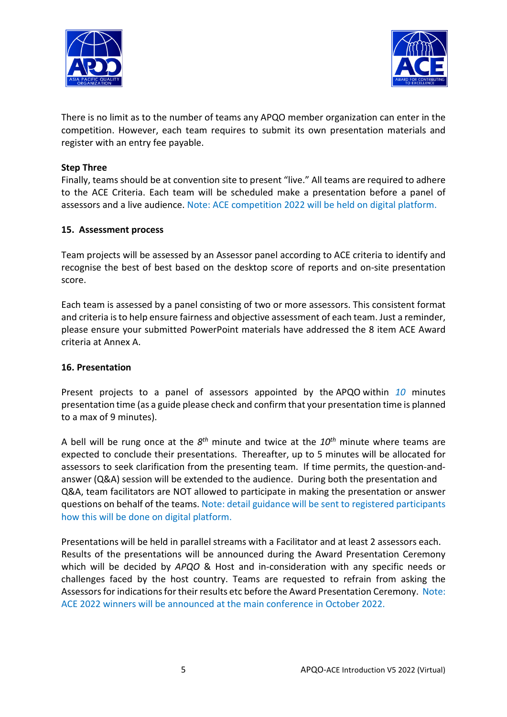



There is no limit as to the number of teams any APQO member organization can enter in the competition. However, each team requires to submit its own presentation materials and register with an entry fee payable.

#### **Step Three**

Finally, teams should be at convention site to present "live." All teams are required to adhere to the ACE Criteria. Each team will be scheduled make a presentation before a panel of assessors and a live audience. Note: ACE competition 2022 will be held on digital platform.

#### **15. Assessment process**

Team projects will be assessed by an Assessor panel according to ACE criteria to identify and recognise the best of best based on the desktop score of reports and on-site presentation score.

Each team is assessed by a panel consisting of two or more assessors. This consistent format and criteria is to help ensure fairness and objective assessment of each team. Just a reminder, please ensure your submitted PowerPoint materials have addressed the 8 item ACE Award criteria at Annex A.

#### **16. Presentation**

Present projects to a panel of assessors appointed by the APQO within *10* minutes presentation time (as a guide please check and confirm that your presentation time is planned to a max of 9 minutes).

A bell will be rung once at the *8th* minute and twice at the *10th* minute where teams are expected to conclude their presentations. Thereafter, up to 5 minutes will be allocated for assessors to seek clarification from the presenting team. If time permits, the question-andanswer (Q&A) session will be extended to the audience. During both the presentation and Q&A, team facilitators are NOT allowed to participate in making the presentation or answer questions on behalf of the teams. Note: detail guidance will be sent to registered participants how this will be done on digital platform.

Presentations will be held in parallel streams with a Facilitator and at least 2 assessors each. Results of the presentations will be announced during the Award Presentation Ceremony which will be decided by *APQO* & Host and in-consideration with any specific needs or challenges faced by the host country. Teams are requested to refrain from asking the Assessors for indications for their results etc before the Award Presentation Ceremony. Note: ACE 2022 winners will be announced at the main conference in October 2022.